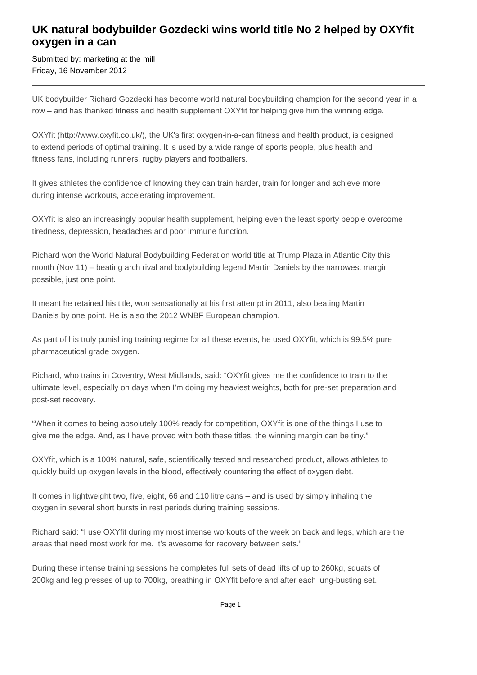## **UK natural bodybuilder Gozdecki wins world title No 2 helped by OXYfit oxygen in a can**

Submitted by: marketing at the mill Friday, 16 November 2012

UK bodybuilder Richard Gozdecki has become world natural bodybuilding champion for the second year in a row – and has thanked fitness and health supplement OXYfit for helping give him the winning edge.

OXYfit (http://www.oxyfit.co.uk/), the UK's first oxygen-in-a-can fitness and health product, is designed to extend periods of optimal training. It is used by a wide range of sports people, plus health and fitness fans, including runners, rugby players and footballers.

It gives athletes the confidence of knowing they can train harder, train for longer and achieve more during intense workouts, accelerating improvement.

OXYfit is also an increasingly popular health supplement, helping even the least sporty people overcome tiredness, depression, headaches and poor immune function.

Richard won the World Natural Bodybuilding Federation world title at Trump Plaza in Atlantic City this month (Nov 11) – beating arch rival and bodybuilding legend Martin Daniels by the narrowest margin possible, just one point.

It meant he retained his title, won sensationally at his first attempt in 2011, also beating Martin Daniels by one point. He is also the 2012 WNBF European champion.

As part of his truly punishing training regime for all these events, he used OXYfit, which is 99.5% pure pharmaceutical grade oxygen.

Richard, who trains in Coventry, West Midlands, said: "OXYfit gives me the confidence to train to the ultimate level, especially on days when I'm doing my heaviest weights, both for pre-set preparation and post-set recovery.

"When it comes to being absolutely 100% ready for competition, OXYfit is one of the things I use to give me the edge. And, as I have proved with both these titles, the winning margin can be tiny."

OXYfit, which is a 100% natural, safe, scientifically tested and researched product, allows athletes to quickly build up oxygen levels in the blood, effectively countering the effect of oxygen debt.

It comes in lightweight two, five, eight, 66 and 110 litre cans – and is used by simply inhaling the oxygen in several short bursts in rest periods during training sessions.

Richard said: "I use OXYfit during my most intense workouts of the week on back and legs, which are the areas that need most work for me. It's awesome for recovery between sets."

During these intense training sessions he completes full sets of dead lifts of up to 260kg, squats of 200kg and leg presses of up to 700kg, breathing in OXYfit before and after each lung-busting set.